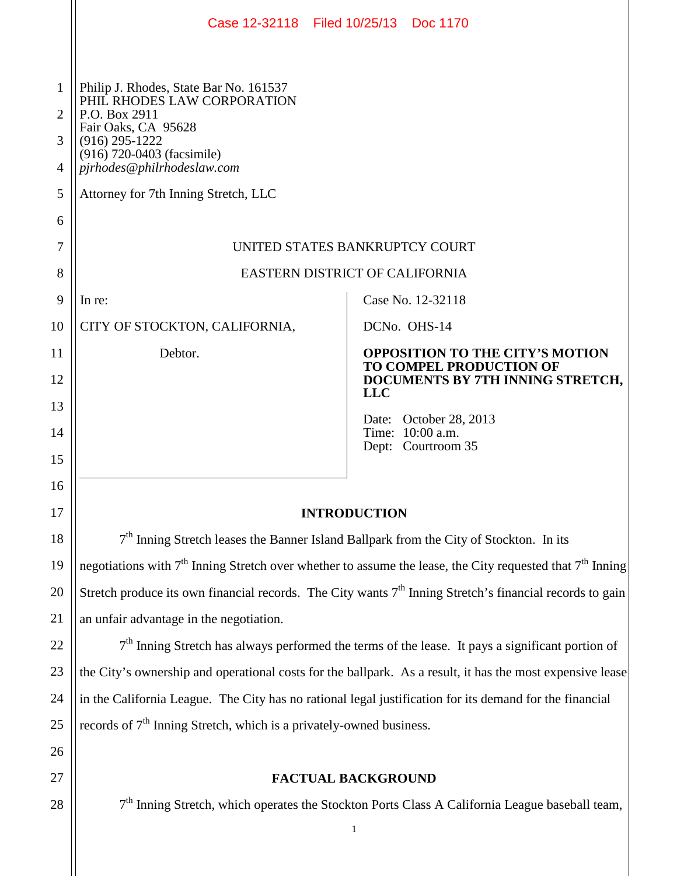|                  | Case 12-32118 Filed 10/25/13 Doc 1170                                                                                                                                                         |                                                                   |
|------------------|-----------------------------------------------------------------------------------------------------------------------------------------------------------------------------------------------|-------------------------------------------------------------------|
| 1<br>2<br>3<br>4 | Philip J. Rhodes, State Bar No. 161537<br>PHIL RHODES LAW CORPORATION<br>P.O. Box 2911<br>Fair Oaks, CA 95628<br>$(916)$ 295-1222<br>(916) 720-0403 (facsimile)<br>pjrhodes@philrhodeslaw.com |                                                                   |
| 5                | Attorney for 7th Inning Stretch, LLC                                                                                                                                                          |                                                                   |
| 6                |                                                                                                                                                                                               |                                                                   |
| 7                | UNITED STATES BANKRUPTCY COURT                                                                                                                                                                |                                                                   |
| 8                | EASTERN DISTRICT OF CALIFORNIA                                                                                                                                                                |                                                                   |
| 9                | In re:                                                                                                                                                                                        | Case No. 12-32118                                                 |
| 10               | CITY OF STOCKTON, CALIFORNIA,                                                                                                                                                                 | DCN <sub>o.</sub> OH <sub>S</sub> -14                             |
| 11               | Debtor.                                                                                                                                                                                       | <b>OPPOSITION TO THE CITY'S MOTION</b><br>TO COMPEL PRODUCTION OF |
| 12               |                                                                                                                                                                                               | DOCUMENTS BY 7TH INNING STRETCH,<br><b>LLC</b>                    |
| 13               |                                                                                                                                                                                               | Date: October 28, 2013                                            |
| 14               |                                                                                                                                                                                               | Time: 10:00 a.m.<br>Dept: Courtroom 35                            |
| 15               |                                                                                                                                                                                               |                                                                   |
| 16<br>17         | <b>INTRODUCTION</b>                                                                                                                                                                           |                                                                   |
| 18               | 7 <sup>th</sup> Inning Stretch leases the Banner Island Ballpark from the City of Stockton. In its                                                                                            |                                                                   |
| 19               | negotiations with 7 <sup>th</sup> Inning Stretch over whether to assume the lease, the City requested that 7 <sup>th</sup> Inning                                                             |                                                                   |
| 20               | Stretch produce its own financial records. The City wants $7th$ Inning Stretch's financial records to gain                                                                                    |                                                                   |
| 21               | an unfair advantage in the negotiation.                                                                                                                                                       |                                                                   |
| 22               | 7 <sup>th</sup> Inning Stretch has always performed the terms of the lease. It pays a significant portion of                                                                                  |                                                                   |
| 23               | the City's ownership and operational costs for the ballpark. As a result, it has the most expensive lease                                                                                     |                                                                   |
| 24               | in the California League. The City has no rational legal justification for its demand for the financial                                                                                       |                                                                   |
| 25               | records of 7 <sup>th</sup> Inning Stretch, which is a privately-owned business.                                                                                                               |                                                                   |
| 26               |                                                                                                                                                                                               |                                                                   |
| 27               | <b>FACTUAL BACKGROUND</b>                                                                                                                                                                     |                                                                   |
| 28               | 7 <sup>th</sup> Inning Stretch, which operates the Stockton Ports Class A California League baseball team,                                                                                    |                                                                   |
|                  |                                                                                                                                                                                               | 1                                                                 |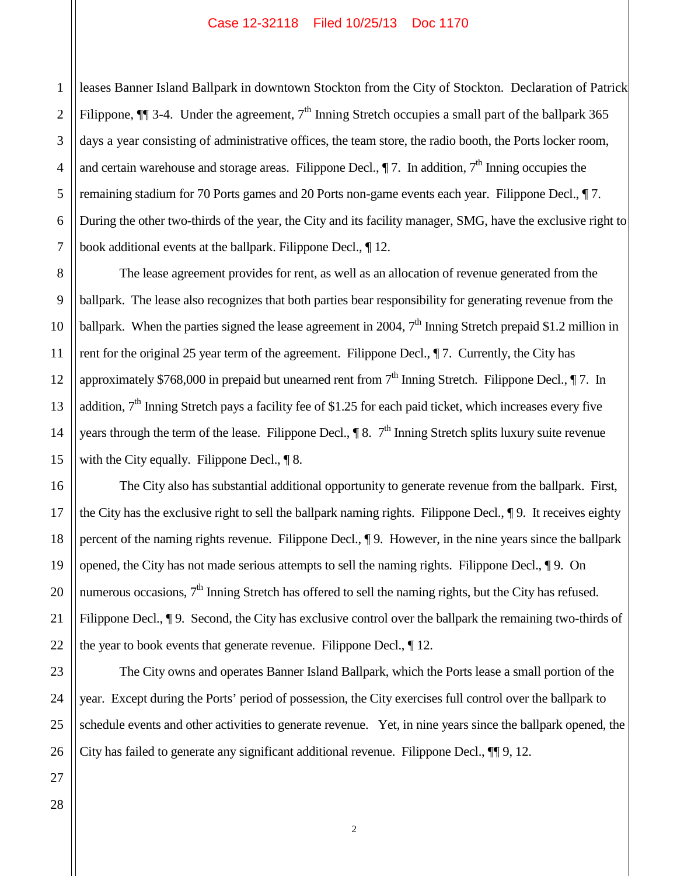1 2 leases Banner Island Ballpark in downtown Stockton from the City of Stockton. Declaration of Patrick Filippone,  $\P$  3-4. Under the agreement,  $7<sup>th</sup>$  Inning Stretch occupies a small part of the ballpark 365 days a year consisting of administrative offices, the team store, the radio booth, the Ports locker room, and certain warehouse and storage areas. Filippone Decl.,  $\P$  7. In addition,  $7<sup>th</sup>$  Inning occupies the remaining stadium for 70 Ports games and 20 Ports non-game events each year. Filippone Decl., ¶ 7. During the other two-thirds of the year, the City and its facility manager, SMG, have the exclusive right to book additional events at the ballpark. Filippone Decl., ¶ 12.

The lease agreement provides for rent, as well as an allocation of revenue generated from the ballpark. The lease also recognizes that both parties bear responsibility for generating revenue from the ballpark. When the parties signed the lease agreement in 2004,  $7<sup>th</sup>$  Inning Stretch prepaid \$1.2 million in rent for the original 25 year term of the agreement. Filippone Decl., ¶ 7. Currently, the City has approximately \$768,000 in prepaid but unearned rent from  $7<sup>th</sup>$  Inning Stretch. Filippone Decl.,  $\P$  7. In addition, 7<sup>th</sup> Inning Stretch pays a facility fee of \$1.25 for each paid ticket, which increases every five years through the term of the lease. Filippone Decl.,  $\P 8$ .  $7<sup>th</sup>$  Inning Stretch splits luxury suite revenue with the City equally. Filippone Decl., ¶ 8.

The City also has substantial additional opportunity to generate revenue from the ballpark. First, the City has the exclusive right to sell the ballpark naming rights. Filippone Decl., ¶ 9. It receives eighty percent of the naming rights revenue. Filippone Decl., ¶ 9. However, in the nine years since the ballpark opened, the City has not made serious attempts to sell the naming rights. Filippone Decl., ¶ 9. On numerous occasions,  $7<sup>th</sup>$  Inning Stretch has offered to sell the naming rights, but the City has refused. Filippone Decl.,  $\P$  9. Second, the City has exclusive control over the ballpark the remaining two-thirds of the year to book events that generate revenue. Filippone Decl., ¶ 12.

The City owns and operates Banner Island Ballpark, which the Ports lease a small portion of the year. Except during the Ports' period of possession, the City exercises full control over the ballpark to schedule events and other activities to generate revenue. Yet, in nine years since the ballpark opened, the City has failed to generate any significant additional revenue. Filippone Decl., ¶¶ 9, 12.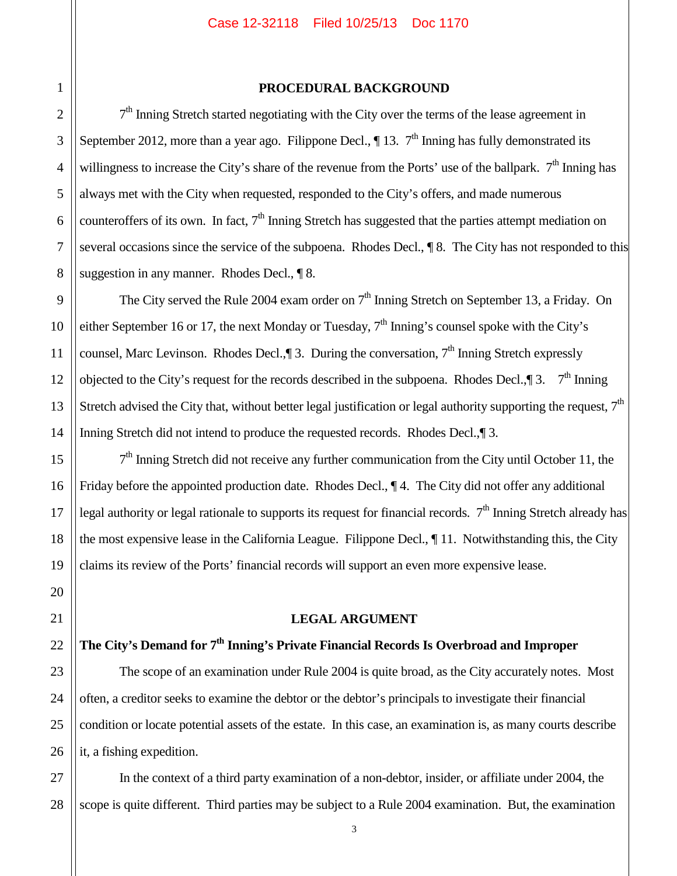### **PROCEDURAL BACKGROUND**

 $7<sup>th</sup>$  Inning Stretch started negotiating with the City over the terms of the lease agreement in September 2012, more than a year ago. Filippone Decl.,  $\P$  13.  $7<sup>th</sup>$  Inning has fully demonstrated its willingness to increase the City's share of the revenue from the Ports' use of the ballpark.  $7<sup>th</sup>$  Inning has always met with the City when requested, responded to the City's offers, and made numerous counteroffers of its own. In fact,  $7<sup>th</sup>$  Inning Stretch has suggested that the parties attempt mediation on several occasions since the service of the subpoena. Rhodes Decl.,  $\P 8$ . The City has not responded to this suggestion in any manner. Rhodes Decl.,  $\P$  8.

The City served the Rule 2004 exam order on  $7<sup>th</sup>$  Inning Stretch on September 13, a Friday. On either September 16 or 17, the next Monday or Tuesday,  $7<sup>th</sup>$  Inning's counsel spoke with the City's counsel, Marc Levinson. Rhodes Decl.,  $\parallel$  3. During the conversation,  $7<sup>th</sup>$  Inning Stretch expressly objected to the City's request for the records described in the subpoena. Rhodes Decl., $\P$ 3.  $7<sup>th</sup>$  Inning Stretch advised the City that, without better legal justification or legal authority supporting the request,  $7<sup>th</sup>$ Inning Stretch did not intend to produce the requested records. Rhodes Decl., 13.

 $7<sup>th</sup>$  Inning Stretch did not receive any further communication from the City until October 11, the Friday before the appointed production date. Rhodes Decl.,  $\P$ 4. The City did not offer any additional legal authority or legal rationale to supports its request for financial records.  $7<sup>th</sup>$  Inning Stretch already has the most expensive lease in the California League. Filippone Decl., ¶ 11. Notwithstanding this, the City claims its review of the Ports' financial records will support an even more expensive lease.

#### **LEGAL ARGUMENT**

## **The City's Demand for 7th Inning's Private Financial Records Is Overbroad and Improper**

The scope of an examination under Rule 2004 is quite broad, as the City accurately notes. Most often, a creditor seeks to examine the debtor or the debtor's principals to investigate their financial condition or locate potential assets of the estate. In this case, an examination is, as many courts describe it, a fishing expedition.

27 28 In the context of a third party examination of a non-debtor, insider, or affiliate under 2004, the scope is quite different. Third parties may be subject to a Rule 2004 examination. But, the examination

26

1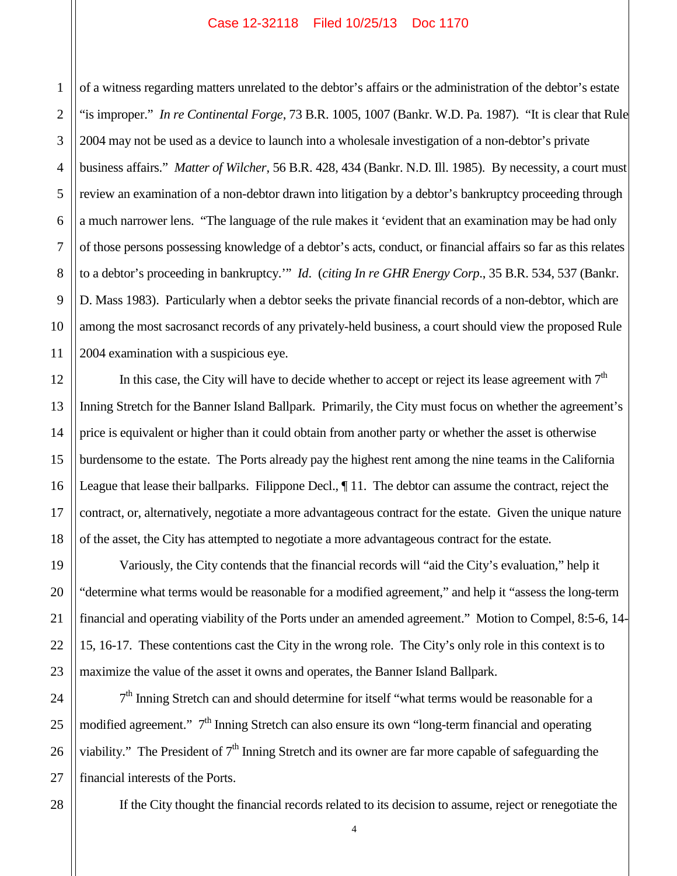1 2 3 4 5 6 7 8 9 10 11 of a witness regarding matters unrelated to the debtor's affairs or the administration of the debtor's estate "is improper." *In re Continental Forge*, 73 B.R. 1005, 1007 (Bankr. W.D. Pa. 1987). "It is clear that Rule 2004 may not be used as a device to launch into a wholesale investigation of a non-debtor's private business affairs." *Matter of Wilcher*, 56 B.R. 428, 434 (Bankr. N.D. Ill. 1985). By necessity, a court must review an examination of a non-debtor drawn into litigation by a debtor's bankruptcy proceeding through a much narrower lens. "The language of the rule makes it 'evident that an examination may be had only of those persons possessing knowledge of a debtor's acts, conduct, or financial affairs so far as this relates to a debtor's proceeding in bankruptcy.'" *Id*. (*citing In re GHR Energy Corp*., 35 B.R. 534, 537 (Bankr. D. Mass 1983). Particularly when a debtor seeks the private financial records of a non-debtor, which are among the most sacrosanct records of any privately-held business, a court should view the proposed Rule 2004 examination with a suspicious eye.

In this case, the City will have to decide whether to accept or reject its lease agreement with  $7<sup>th</sup>$ Inning Stretch for the Banner Island Ballpark. Primarily, the City must focus on whether the agreement's price is equivalent or higher than it could obtain from another party or whether the asset is otherwise burdensome to the estate. The Ports already pay the highest rent among the nine teams in the California League that lease their ballparks. Filippone Decl.,  $\P$  11. The debtor can assume the contract, reject the contract, or, alternatively, negotiate a more advantageous contract for the estate. Given the unique nature of the asset, the City has attempted to negotiate a more advantageous contract for the estate.

Variously, the City contends that the financial records will "aid the City's evaluation," help it "determine what terms would be reasonable for a modified agreement," and help it "assess the long-term financial and operating viability of the Ports under an amended agreement." Motion to Compel, 8:5-6, 14- 15, 16-17. These contentions cast the City in the wrong role. The City's only role in this context is to maximize the value of the asset it owns and operates, the Banner Island Ballpark.

 $7<sup>th</sup>$  Inning Stretch can and should determine for itself "what terms would be reasonable for a modified agreement." 7<sup>th</sup> Inning Stretch can also ensure its own "long-term financial and operating viability." The President of  $7<sup>th</sup>$  Inning Stretch and its owner are far more capable of safeguarding the financial interests of the Ports.

If the City thought the financial records related to its decision to assume, reject or renegotiate the

12

13

14

15

16

17

18

19

20

21

22

23

28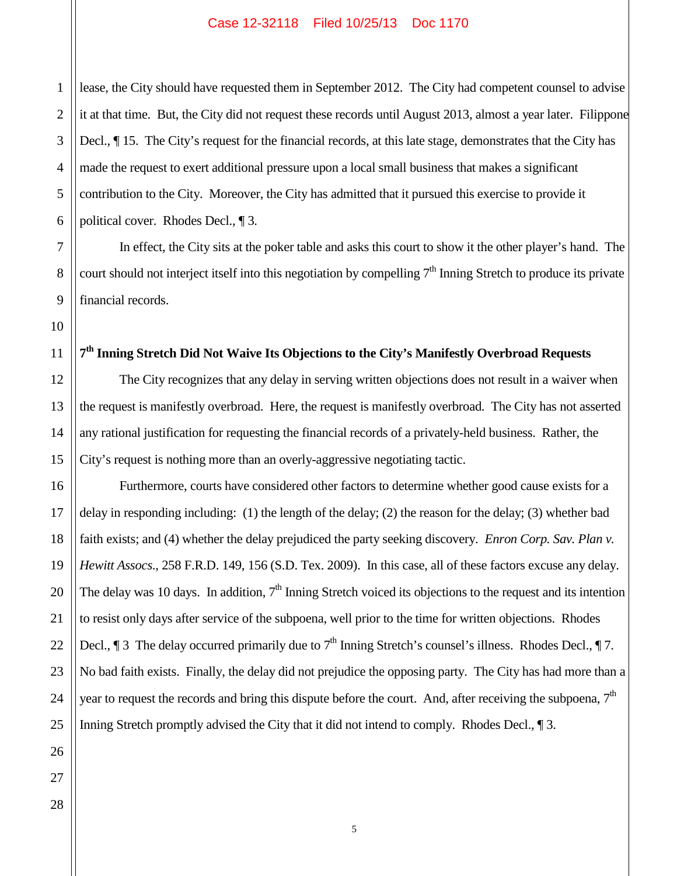lease, the City should have requested them in September 2012. The City had competent counsel to advise it at that time. But, the City did not request these records until August 2013, almost a year later. Filippone Decl., ¶ 15. The City's request for the financial records, at this late stage, demonstrates that the City has made the request to exert additional pressure upon a local small business that makes a significant contribution to the City. Moreover, the City has admitted that it pursued this exercise to provide it political cover. Rhodes Decl., ¶ 3.

In effect, the City sits at the poker table and asks this court to show it the other player's hand. The court should not interject itself into this negotiation by compelling  $7<sup>th</sup>$  Inning Stretch to produce its private financial records.

# **7th Inning Stretch Did Not Waive Its Objections to the City's Manifestly Overbroad Requests**

The City recognizes that any delay in serving written objections does not result in a waiver when the request is manifestly overbroad. Here, the request is manifestly overbroad. The City has not asserted any rational justification for requesting the financial records of a privately-held business. Rather, the City's request is nothing more than an overly-aggressive negotiating tactic.

Furthermore, courts have considered other factors to determine whether good cause exists for a delay in responding including: (1) the length of the delay; (2) the reason for the delay; (3) whether bad faith exists; and (4) whether the delay prejudiced the party seeking discovery. *Enron Corp. Sav. Plan v. Hewitt Assocs*., 258 F.R.D. 149, 156 (S.D. Tex. 2009). In this case, all of these factors excuse any delay. The delay was 10 days. In addition,  $7<sup>th</sup>$  Inning Stretch voiced its objections to the request and its intention to resist only days after service of the subpoena, well prior to the time for written objections. Rhodes Decl.,  $\parallel$  3 The delay occurred primarily due to  $7<sup>th</sup>$  Inning Stretch's counsel's illness. Rhodes Decl.,  $\P$  7. No bad faith exists. Finally, the delay did not prejudice the opposing party. The City has had more than a year to request the records and bring this dispute before the court. And, after receiving the subpoena, 7<sup>th</sup> Inning Stretch promptly advised the City that it did not intend to comply. Rhodes Decl., 1 3.

1